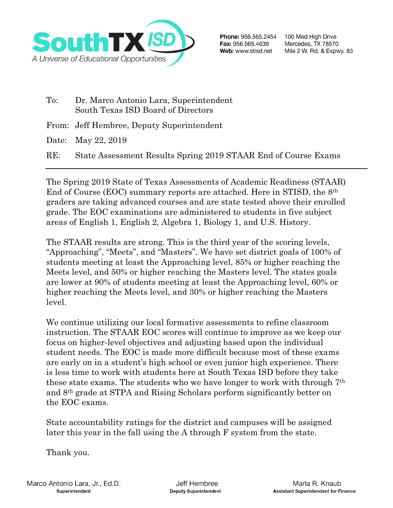

- To: Dr. Marco Antonio Lara, Superintendent South Texas ISD Board of Directors
- From: Jeff Hembree, Deputy Superintendent

Date: May 22, 2019

RE: State Assessment Results Spring 2019 STAAR End of Course Exams

The Spring 2019 State of Texas Assessments of Academic Readiness (STAAR) End of Course (EOC) summary reports are attached. Here in STISD, the 8th graders are taking advanced courses and are state tested above their enrolled grade. The EOC examinations are administered to students in five subject areas of English 1, English 2, Algebra 1, Biology 1, and U.S. History.

The STAAR results are strong. This is the third year of the scoring levels, "Approaching", "Meets", and "Masters". We have set district goals of 100% of students meeting at least the Approaching level, 85% or higher reaching the Meets level, and 50% or higher reaching the Masters level. The states goals are lower at 90% of students meeting at least the Approaching level, 60% or higher reaching the Meets level, and 30% or higher reaching the Masters level.

We continue utilizing our local formative assessments to refine classroom instruction. The STAAR EOC scores will continue to improve as we keep our focus on higher-level objectives and adjusting based upon the individual student needs. The EOC is made more difficult because most of these exams are early on in a student's high school or even junior high experience. There is less time to work with students here at South Texas ISD before they take these state exams. The students who we have longer to work with through 7th and 8th grade at STPA and Rising Scholars perform significantly better on the EOC exams.

State accountability ratings for the district and campuses will be assigned later this year in the fall using the A through F system from the state.

Thank you.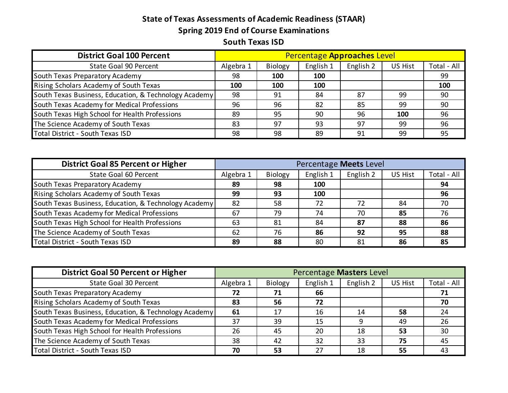## **State of Texas Assessments of Academic Readiness (STAAR) Spring 2019 End of Course Examinations South Texas ISD**

| <b>District Goal 100 Percent</b>                      | Percentage Approaches Level |                |           |           |         |             |  |  |  |
|-------------------------------------------------------|-----------------------------|----------------|-----------|-----------|---------|-------------|--|--|--|
| State Goal 90 Percent                                 | Algebra 1                   | <b>Biology</b> | English 1 | English 2 | US Hist | Total - All |  |  |  |
| South Texas Preparatory Academy                       | 98                          | 100            | 100       |           |         | 99          |  |  |  |
| Rising Scholars Academy of South Texas                | 100                         | 100            | 100       |           |         | 100         |  |  |  |
| South Texas Business, Education, & Technology Academy | 98                          | 91             | 84        | 87        | 99      | 90          |  |  |  |
| South Texas Academy for Medical Professions           | 96                          | 96             | 82        | 85        | 99      | 90          |  |  |  |
| South Texas High School for Health Professions        | 89                          | 95             | 90        | 96        | 100     | 96          |  |  |  |
| The Science Academy of South Texas                    | 83                          | 97             | 93        | 97        | 99      | 96          |  |  |  |
| Total District - South Texas ISD                      | 98                          | 98             | 89        | 91        | 99      | 95          |  |  |  |

| <b>District Goal 85 Percent or Higher</b>             | Percentage Meets Level |         |           |           |                |             |  |  |  |
|-------------------------------------------------------|------------------------|---------|-----------|-----------|----------------|-------------|--|--|--|
| State Goal 60 Percent                                 | Algebra 1              | Biology | English 1 | English 2 | <b>US Hist</b> | Total - All |  |  |  |
| South Texas Preparatory Academy                       | 89                     | 98      | 100       |           |                | 94          |  |  |  |
| Rising Scholars Academy of South Texas                | 99                     | 93      | 100       |           |                | 96          |  |  |  |
| South Texas Business, Education, & Technology Academy | 82                     | .58     | 72        | 72        | 84             | 70          |  |  |  |
| South Texas Academy for Medical Professions           | 67                     | 79      | 74        | 70        | 85             | 76          |  |  |  |
| South Texas High School for Health Professions        | 63                     | 81      | 84        | -87       | 88             | 86          |  |  |  |
| The Science Academy of South Texas                    | 62                     | 76      | 86        | 92        | 95             | 88          |  |  |  |
| Total District - South Texas ISD                      | 89                     | 88      | 80        | 81        | 86             | 85          |  |  |  |

| <b>District Goal 50 Percent or Higher</b>             | Percentage Masters Level |         |           |           |                |             |  |  |  |
|-------------------------------------------------------|--------------------------|---------|-----------|-----------|----------------|-------------|--|--|--|
| State Goal 30 Percent                                 | Algebra 1                | Biology | English 1 | English 2 | <b>US Hist</b> | Total - All |  |  |  |
| South Texas Preparatory Academy                       | 72                       | 71      | 66        |           |                | 71          |  |  |  |
| Rising Scholars Academy of South Texas                | 83                       | 56      | 72        |           |                | 70          |  |  |  |
| South Texas Business, Education, & Technology Academy | 61                       | 17      | 16        | 14        | 58             | 24          |  |  |  |
| South Texas Academy for Medical Professions           | 37                       | 39      | 15        |           | 49             | 26          |  |  |  |
| South Texas High School for Health Professions        | 26                       | 45      | 20        | 18        | 53             | 30          |  |  |  |
| The Science Academy of South Texas                    | 38                       | 42      | 32        | 33        | 75             | 45          |  |  |  |
| Total District - South Texas ISD                      | 70                       | 53      | 27        | 18        | 55             | 43          |  |  |  |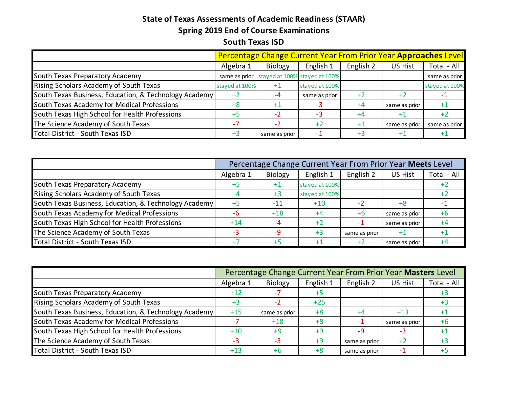## **State of Texas Assessments of Academic Readiness (STAAR) Spring 2019 End of Course Examinations South Texas ISD**

|                                                       | Percentage Change Current Year From Prior Year Approaches Level |               |                                             |           |               |                |  |  |  |  |  |
|-------------------------------------------------------|-----------------------------------------------------------------|---------------|---------------------------------------------|-----------|---------------|----------------|--|--|--|--|--|
|                                                       | Algebra 1                                                       | Biology       | English 1                                   | English 2 | US Hist       | Total - All    |  |  |  |  |  |
| South Texas Preparatory Academy                       |                                                                 |               | same as prior stayed at 100% stayed at 100% |           |               | same as prior  |  |  |  |  |  |
| Rising Scholars Academy of South Texas                | stayed at 100%                                                  | $+1$          | stayed at 100%                              |           |               | stayed at 100% |  |  |  |  |  |
| South Texas Business, Education, & Technology Academy | $+2$                                                            | -4            | same as prior                               | $+2$      | $+2$          |                |  |  |  |  |  |
| South Texas Academy for Medical Professions           | $+8$                                                            | $+1$          | $-3$                                        | $+4$      | same as prior |                |  |  |  |  |  |
| South Texas High School for Health Professions        | $+5$                                                            | $-2$          | $-3$                                        | $+4$      | $+1$          | $+2$           |  |  |  |  |  |
| The Science Academy of South Texas                    |                                                                 | $-2$          | $+2$                                        | $+1$      | same as prior | same as prior  |  |  |  |  |  |
| Total District - South Texas ISD                      |                                                                 | same as prior |                                             | +3        | $+1$          |                |  |  |  |  |  |

|                                                       | Percentage Change Current Year From Prior Year Meets Level |                   |                |               |                |             |  |  |  |  |  |  |
|-------------------------------------------------------|------------------------------------------------------------|-------------------|----------------|---------------|----------------|-------------|--|--|--|--|--|--|
|                                                       | Algebra 1                                                  | Biology           | English 1      | English 2     | <b>US Hist</b> | Total - All |  |  |  |  |  |  |
| South Texas Preparatory Academy                       | +5                                                         | $^{\mathrm {+1}}$ | stayed at 100% |               |                |             |  |  |  |  |  |  |
| Rising Scholars Academy of South Texas                | +4                                                         | $+3$              | stayed at 100% |               |                |             |  |  |  |  |  |  |
| South Texas Business, Education, & Technology Academy | $+5$                                                       | $-11$             | $+10$          |               | $+8$           |             |  |  |  |  |  |  |
| South Texas Academy for Medical Professions           | -6                                                         | $+18$             | $+4$           | $+6$          | same as prior  |             |  |  |  |  |  |  |
| South Texas High School for Health Professions        | $+14$                                                      | $-4$              | $+2$           | ÷             | same as prior  |             |  |  |  |  |  |  |
| The Science Academy of South Texas                    |                                                            | -9                | $+3$           | same as prior | $+1$           |             |  |  |  |  |  |  |
| Total District - South Texas ISD                      |                                                            | $+5$              | $+1$           | -42           | same as prior  |             |  |  |  |  |  |  |

|                                                       | Percentage Change Current Year From Prior Year Masters Level |               |           |               |                |             |  |  |  |  |  |  |
|-------------------------------------------------------|--------------------------------------------------------------|---------------|-----------|---------------|----------------|-------------|--|--|--|--|--|--|
|                                                       | Algebra 1                                                    | Biology       | English 1 | English 2     | <b>US Hist</b> | Total - All |  |  |  |  |  |  |
| South Texas Preparatory Academy                       | $+12$                                                        |               | $+5$      |               |                | $+3$        |  |  |  |  |  |  |
| Rising Scholars Academy of South Texas                | +3                                                           | - 7           | $+25$     |               |                | $+3$        |  |  |  |  |  |  |
| South Texas Business, Education, & Technology Academy | $+15$                                                        | same as prior | $+8$      | $+4$          | $+13$          | $+1$        |  |  |  |  |  |  |
| South Texas Academy for Medical Professions           |                                                              | $+18$         | $+8$      | -1            | same as prior  | +6          |  |  |  |  |  |  |
| South Texas High School for Health Professions        | $+10$                                                        | $+9$          | $+9$      | -9            | $-3$           | $+1$        |  |  |  |  |  |  |
| The Science Academy of South Texas                    |                                                              | -3            | $+9$      | same as prior | $+2$           | $+3$        |  |  |  |  |  |  |
| Total District - South Texas ISD                      | $+13$                                                        | +6            | $+8$      | same as prior |                |             |  |  |  |  |  |  |